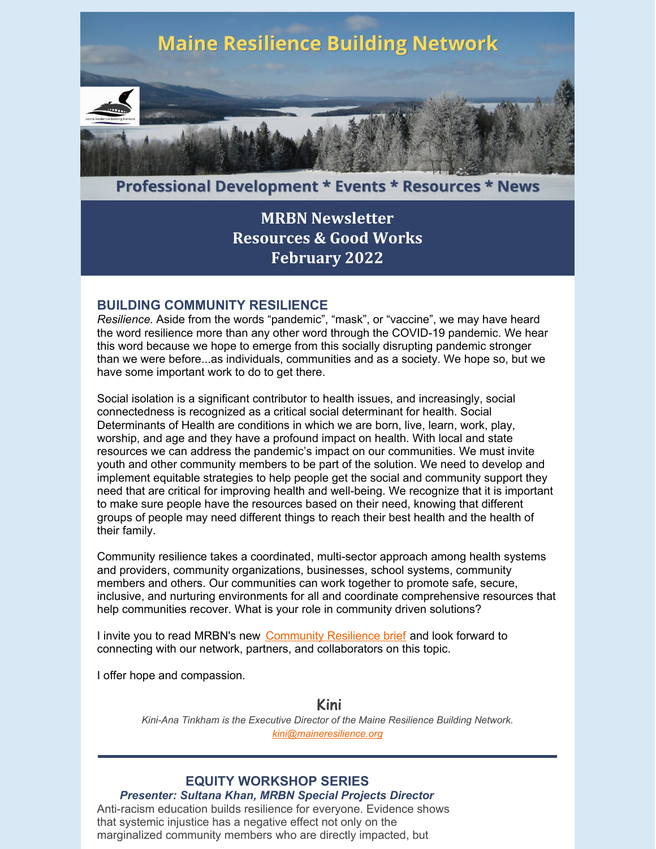

**Professional Development \* Events \* Resources \* News** 

# **MRBN [Newsletter](https://maineresilience.org/) [Resources](https://maineresilience.org/) & Good Works [February](https://maineresilience.org/) 2022**

### **BUILDING COMMUNITY RESILIENCE**

*Resilience.* Aside from the words "pandemic", "mask", or "vaccine", we may have heard the word resilience more than any other word through the COVID-19 pandemic. We hear this word because we hope to emerge from this socially disrupting pandemic stronger than we were before...as individuals, communities and as a society. We hope so, but we have some important work to do to get there.

Social isolation is a significant contributor to health issues, and increasingly, social connectedness is recognized as a critical social determinant for health. Social Determinants of Health are conditions in which we are born, live, learn, work, play, worship, and age and they have a profound impact on health. With local and state resources we can address the pandemic's impact on our communities. We must invite youth and other community members to be part of the solution. We need to develop and implement equitable strategies to help people get the social and community support they need that are critical for improving health and well-being. We recognize that it is important to make sure people have the resources based on their need, knowing that different groups of people may need different things to reach their best health and the health of their family.

Community resilience takes a coordinated, multi-sector approach among health systems and providers, community organizations, businesses, school systems, community members and others. Our communities can work together to promote safe, secure, inclusive, and nurturing environments for all and coordinate comprehensive resources that help communities recover. What is your role in community driven solutions?

I invite you to read MRBN's new [Community](https://maineresilience.org/Community-Resilience/) Resilience brief and look forward to connecting with our network, partners, and collaborators on this topic.

I offer hope and compassion.

### **Kini**

*Kini-Ana Tinkham is the Executive Director of the Maine Resilience Building Network. [kini@maineresilience.org](mailto:kini@maineresilience.org)*

### **EQUITY WORKSHOP SERIES**

*Presenter: Sultana Khan, MRBN Special Projects Director* Anti-racism education builds resilience for everyone. Evidence shows that systemic injustice has a negative effect not only on the marginalized community members who are directly impacted, but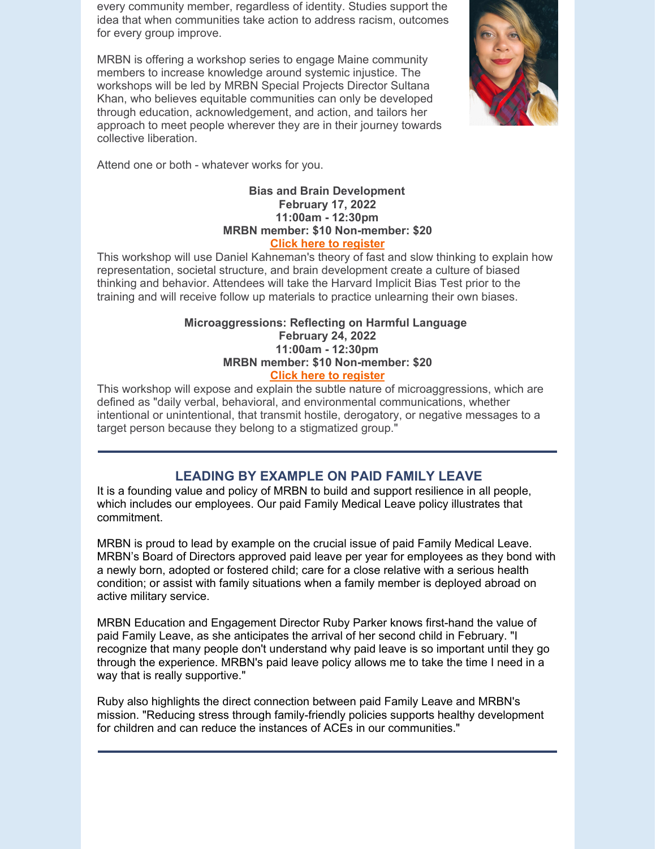every community member, regardless of identity. Studies support the idea that when communities take action to address racism, outcomes for every group improve.

MRBN is offering a workshop series to engage Maine community members to increase knowledge around systemic injustice. The workshops will be led by MRBN Special Projects Director Sultana Khan, who believes equitable communities can only be developed through education, acknowledgement, and action, and tailors her approach to meet people wherever they are in their journey towards collective liberation.



Attend one or both - whatever works for you.

### **Bias and Brain Development February 17, 2022 11:00am - 12:30pm MRBN member: \$10 Non-member: \$20 Click here to [register](https://maineresilience.org/event-4681737?CalendarViewType=1&SelectedDate=2/2/2022)**

This workshop will use Daniel Kahneman's theory of fast and slow thinking to explain how representation, societal structure, and brain development create a culture of biased thinking and behavior. Attendees will take the Harvard Implicit Bias Test prior to the training and will receive follow up materials to practice unlearning their own biases.

#### **Microaggressions: Reflecting on Harmful Language February 24, 2022 11:00am - 12:30pm MRBN member: \$10 Non-member: \$20 Click here to [register](https://maineresilience.org/event-4680418?CalendarViewType=1&SelectedDate=2/2/2022)**

This workshop will expose and explain the subtle nature of microaggressions, which are defined as "daily verbal, behavioral, and environmental communications, whether intentional or unintentional, that transmit hostile, derogatory, or negative messages to a target person because they belong to a stigmatized group."

## **LEADING BY EXAMPLE ON PAID FAMILY LEAVE**

It is a founding value and policy of MRBN to build and support resilience in all people, which includes our employees. Our paid Family Medical Leave policy illustrates that commitment.

MRBN is proud to lead by example on the crucial issue of paid Family Medical Leave. MRBN's Board of Directors approved paid leave per year for employees as they bond with a newly born, adopted or fostered child; care for a close relative with a serious health condition; or assist with family situations when a family member is deployed abroad on active military service.

MRBN Education and Engagement Director Ruby Parker knows first-hand the value of paid Family Leave, as she anticipates the arrival of her second child in February. "I recognize that many people don't understand why paid leave is so important until they go through the experience. MRBN's paid leave policy allows me to take the time I need in a way that is really supportive."

Ruby also highlights the direct connection between paid Family Leave and MRBN's mission. "Reducing stress through family-friendly policies supports healthy development for children and can reduce the instances of ACEs in our communities."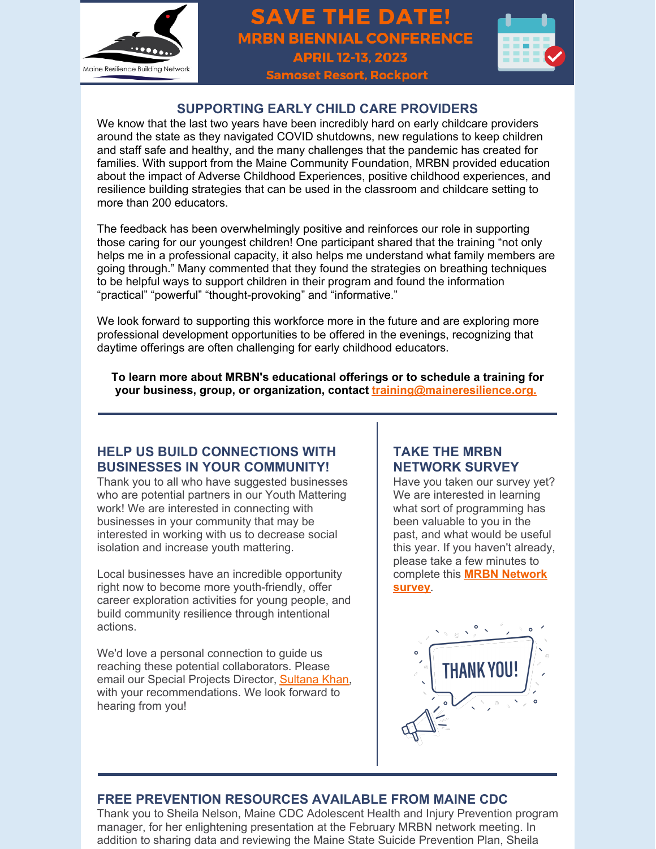

# **SAVE THE DATE! MRBN BIENNIAL CONFERENCE APRIL 12-13, 2023 Samoset Resort, Rockport**



## **SUPPORTING EARLY CHILD CARE PROVIDERS**

We know that the last two years have been incredibly hard on early childcare providers around the state as they navigated COVID shutdowns, new regulations to keep children and staff safe and healthy, and the many challenges that the pandemic has created for families. With support from the Maine Community Foundation, MRBN provided education about the impact of Adverse Childhood Experiences, positive childhood experiences, and resilience building strategies that can be used in the classroom and childcare setting to more than 200 educators.

The feedback has been overwhelmingly positive and reinforces our role in supporting those caring for our youngest children! One participant shared that the training "not only helps me in a professional capacity, it also helps me understand what family members are going through." Many commented that they found the strategies on breathing techniques to be helpful ways to support children in their program and found the information "practical" "powerful" "thought-provoking" and "informative."

We look forward to supporting this workforce more in the future and are exploring more professional development opportunities to be offered in the evenings, recognizing that daytime offerings are often challenging for early childhood educators.

**To learn more about MRBN's educational offerings or to schedule a training for your business, group, or organization, contact [training@maineresilience.org.](mailto:training@maineresilience.org)**

## **HELP US BUILD CONNECTIONS WITH BUSINESSES IN YOUR COMMUNITY!**

Thank you to all who have suggested businesses who are potential partners in our Youth Mattering work! We are interested in connecting with businesses in your community that may be interested in working with us to decrease social isolation and increase youth mattering.

Local businesses have an incredible opportunity right now to become more youth-friendly, offer career exploration activities for young people, and build community resilience through intentional actions.

We'd love a personal connection to guide us reaching these potential collaborators. Please email our Special Projects Director, [Sultana](mailto:sultana@maineresilience.org) Khan, with your recommendations. We look forward to hearing from you!

## **TAKE THE MRBN NETWORK SURVEY**

Have you taken our survey yet? We are interested in learning what sort of programming has been valuable to you in the past, and what would be useful this year. If you haven't already, please take a few minutes to [complete](https://www.surveymonkey.com/r/8BYDC2Q) this **MRBN Network survey**.



## **FREE PREVENTION RESOURCES AVAILABLE FROM MAINE CDC**

Thank you to Sheila Nelson, Maine CDC Adolescent Health and Injury Prevention program manager, for her enlightening presentation at the February MRBN network meeting. In addition to sharing data and reviewing the Maine State Suicide Prevention Plan, Sheila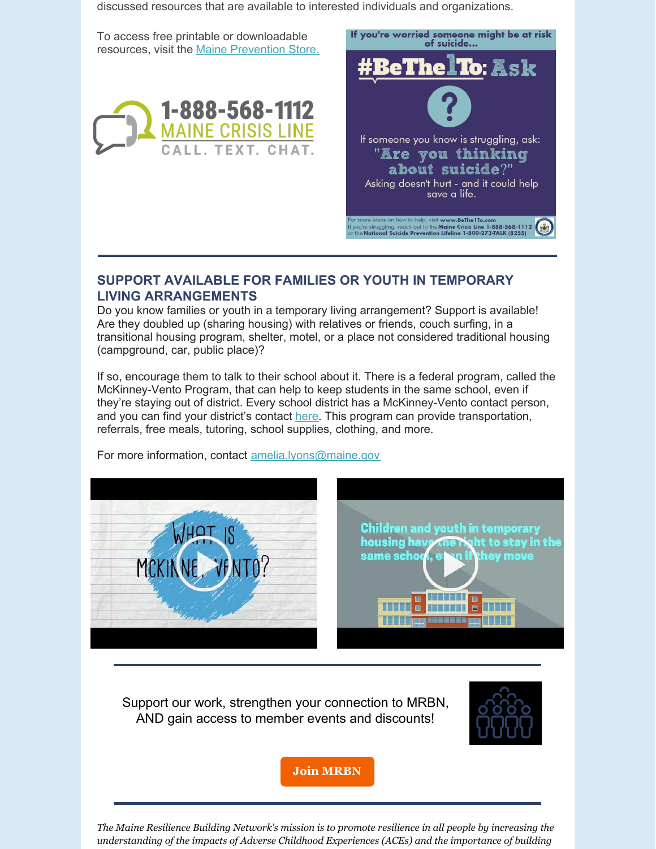discussed resources that are available to interested individuals and organizations.

To access free printable or downloadable resources, visit the Maine [Prevention](https://www.mainepreventionstore.com/) Store.





### **SUPPORT AVAILABLE FOR FAMILIES OR YOUTH IN TEMPORARY LIVING ARRANGEMENTS**

Do you know families or youth in a temporary living arrangement? Support is available! Are they doubled up (sharing housing) with relatives or friends, couch surfing, in a transitional housing program, shelter, motel, or a place not considered traditional housing (campground, car, public place)?

If so, encourage them to talk to their school about it. There is a federal program, called the McKinney-Vento Program, that can help to keep students in the same school, even if they're staying out of district. Every school district has a McKinney-Vento contact person, and you can find your district's contact [here](https://gcc02.safelinks.protection.outlook.com/?url=https%3A%2F%2Flinkprotect.cudasvc.com%2Furl%3Fa%3Dhttps%253a%252f%252fneo.maine.gov%252fDOE%252fneo%252fSupersearch%252fContactSearch%252fContactSearchByType%26c%3DE%2C1%2CBIHvNOAxnAyZAUVjZ814F81Gh0VfxxWNt1TFxizBQfqE5cwJYXGdjwGS_fz2NYrXuNEBScchFNNfkTRcOPcPtsTDvMY5-52lCFLXRVep92JPtHogpo0%2C%26typo%3D1&data=04%7C01%7Camelia.lyons%40maine.gov%7C32cba150de9e4b39365c08d9e0ef08a1%7C413fa8ab207d4b629bcdea1a8f2f864e%7C0%7C0%7C637788139522521874%7CUnknown%7CTWFpbGZsb3d8eyJWIjoiMC4wLjAwMDAiLCJQIjoiV2luMzIiLCJBTiI6Ik1haWwiLCJXVCI6Mn0%3D%7C3000&sdata=MVDmIgJ9H45U1lVtvHNfdYbxyb3%2FSZHsYuBf7SNtdrk%3D&reserved=0). This program can provide transportation, referrals, free meals, tutoring, school supplies, clothing, and more.

For more information, contact [amelia.lyons@maine.gov](mailto:amelia.lyons@maine.gov)



Support our work, strengthen your connection to MRBN, AND gain access to member events and discounts!



**Join [MRBN](http://maineresilience.org/membership)**

*The Maine Resilience Building Network's mission is to promote resilience in all people by increasing the understanding of the impacts of Adverse Childhood Experiences (ACEs) and the importance of building*